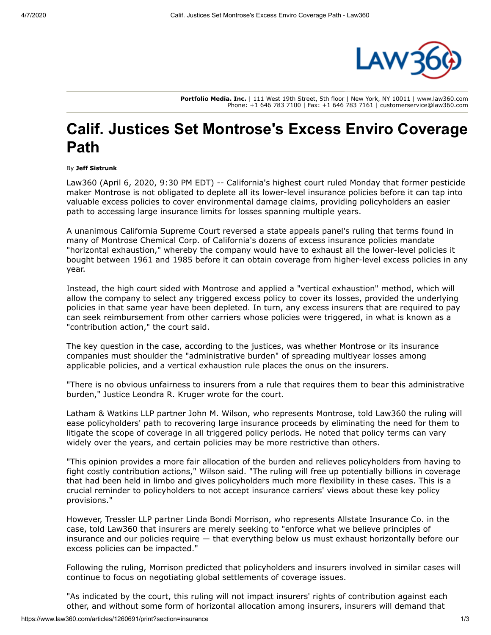

**Portfolio Media. Inc.** | 111 West 19th Street, 5th floor | New York, NY 10011 | www.law360.com Phone: +1 646 783 7100 | Fax: +1 646 783 7161 | customerservice@law360.com

## **Calif. Justices Set Montrose's Excess Enviro Coverage Path**

## By **Jeff Sistrunk**

Law360 (April 6, 2020, 9:30 PM EDT) -- California's highest court ruled Monday that former pesticide maker Montrose is not obligated to deplete all its lower-level insurance policies before it can tap into valuable excess policies to cover environmental damage claims, providing policyholders an easier path to accessing large insurance limits for losses spanning multiple years.

A unanimous [California Supreme Court](https://www.law360.com/agencies/california-supreme-court) reversed a state appeals panel's ruling that terms found in many of Montrose Chemical Corp. of California's dozens of excess insurance policies mandate "horizontal exhaustion," whereby the company would have to exhaust all the lower-level policies it bought between 1961 and 1985 before it can obtain coverage from higher-level excess policies in any year.

Instead, the high court sided with Montrose and applied a "vertical exhaustion" method, which will allow the company to select any triggered excess policy to cover its losses, provided the underlying policies in that same year have been depleted. In turn, any excess insurers that are required to pay can seek reimbursement from other carriers whose policies were triggered, in what is known as a "contribution action," the court said.

The key question in the case, according to the justices, was whether Montrose or its insurance companies must shoulder the "administrative burden" of spreading multiyear losses among applicable policies, and a vertical exhaustion rule places the onus on the insurers.

"There is no obvious unfairness to insurers from a rule that requires them to bear this administrative burden," Justice Leondra R. Kruger wrote for the court.

[Latham & Watkins LLP](https://www.law360.com/firms/latham-watkins) partner John M. Wilson, who represents Montrose, told Law360 the ruling will ease policyholders' path to recovering large insurance proceeds by eliminating the need for them to litigate the scope of coverage in all triggered policy periods. He noted that policy terms can vary widely over the years, and certain policies may be more restrictive than others.

"This opinion provides a more fair allocation of the burden and relieves policyholders from having to fight costly contribution actions," Wilson said. "The ruling will free up potentially billions in coverage that had been held in limbo and gives policyholders much more flexibility in these cases. This is a crucial reminder to policyholders to not accept insurance carriers' views about these key policy provisions."

However, [Tressler LLP](https://www.law360.com/firms/tressler-llp) partner Linda Bondi Morrison, who represents [Allstate Insurance Co.](https://www.law360.com/companies/the-allstate-corp) in the case, told Law360 that insurers are merely seeking to "enforce what we believe principles of insurance and our policies require — that everything below us must exhaust horizontally before our excess policies can be impacted."

Following the ruling, Morrison predicted that policyholders and insurers involved in similar cases will continue to focus on negotiating global settlements of coverage issues.

"As indicated by the court, this ruling will not impact insurers' rights of contribution against each other, and without some form of horizontal allocation among insurers, insurers will demand that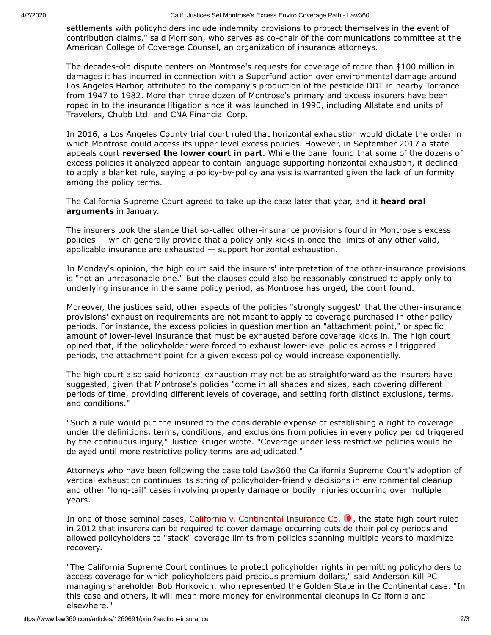settlements with policyholders include indemnity provisions to protect themselves in the event of contribution claims," said Morrison, who serves as co-chair of the communications committee at the American College of Coverage Counsel, an organization of insurance attorneys.

The decades-old dispute centers on Montrose's requests for coverage of more than \$100 million in damages it has incurred in connection with a Superfund action over environmental damage around Los Angeles Harbor, attributed to the company's production of the pesticide DDT in nearby Torrance from 1947 to 1982. More than three dozen of Montrose's primary and excess insurers have been roped in to the insurance litigation since it was launched in 1990, including Allstate and units of Travelers, Chubb Ltd. and [CNA Financial Corp.](https://www.law360.com/companies/cna-financial-corp)

In 2016, a Los Angeles County trial court ruled that horizontal exhaustion would dictate the order in which Montrose could access its upper-level excess policies. However, in September 2017 a state appeals court **[reversed the lower court in part](https://www.law360.com/articles/960166/montrose-s-excess-policy-terms-dictate-access-court-says)**. While the panel found that some of the dozens of excess policies it analyzed appear to contain language supporting horizontal exhaustion, it declined to apply a blanket rule, saying a policy-by-policy analysis is warranted given the lack of uniformity among the policy terms.

[The California Supreme Court agreed to take up the case later that year, and it](https://www.law360.com/articles/1231627/calif-justices-dubious-of-insurers-stance-in-cleanup-battle) **heard oral arguments** in January.

The insurers took the stance that so-called other-insurance provisions found in Montrose's excess policies — which generally provide that a policy only kicks in once the limits of any other valid, applicable insurance are exhausted — support horizontal exhaustion.

In Monday's opinion, the high court said the insurers' interpretation of the other-insurance provisions is "not an unreasonable one." But the clauses could also be reasonably construed to apply only to underlying insurance in the same policy period, as Montrose has urged, the court found.

Moreover, the justices said, other aspects of the policies "strongly suggest" that the other-insurance provisions' exhaustion requirements are not meant to apply to coverage purchased in other policy periods. For instance, the excess policies in question mention an "attachment point," or specific amount of lower-level insurance that must be exhausted before coverage kicks in. The high court opined that, if the policyholder were forced to exhaust lower-level policies across all triggered periods, the attachment point for a given excess policy would increase exponentially.

The high court also said horizontal exhaustion may not be as straightforward as the insurers have suggested, given that Montrose's policies "come in all shapes and sizes, each covering different periods of time, providing different levels of coverage, and setting forth distinct exclusions, terms, and conditions."

"Such a rule would put the insured to the considerable expense of establishing a right to coverage under the definitions, terms, conditions, and exclusions from policies in every policy period triggered by the continuous injury," Justice Kruger wrote. "Coverage under less restrictive policies would be delayed until more restrictive policy terms are adjudicated."

Attorneys who have been following the case told Law360 the California Supreme Court's adoption of vertical exhaustion continues its string of policyholder-friendly decisions in environmental cleanup and other "long-tail" cases involving property damage or bodily injuries occurring over multiple years.

In one of those seminal cases, California v. Continental Insurance Co.  $\bullet$ , the state high court ruled in 2012 that insurers can be required to cover damage occurring outside their policy periods and allowed policyholders to "stack" coverage limits from policies spanning multiple years to maximize recovery.

"The California Supreme Court continues to protect policyholder rights in permitting policyholders to access coverage for which policyholders paid precious premium dollars," said [Anderson Kill PC](https://www.law360.com/firms/anderson-kill) managing shareholder Bob Horkovich, who represented the Golden State in the Continental case. "In this case and others, it will mean more money for environmental cleanups in California and elsewhere."